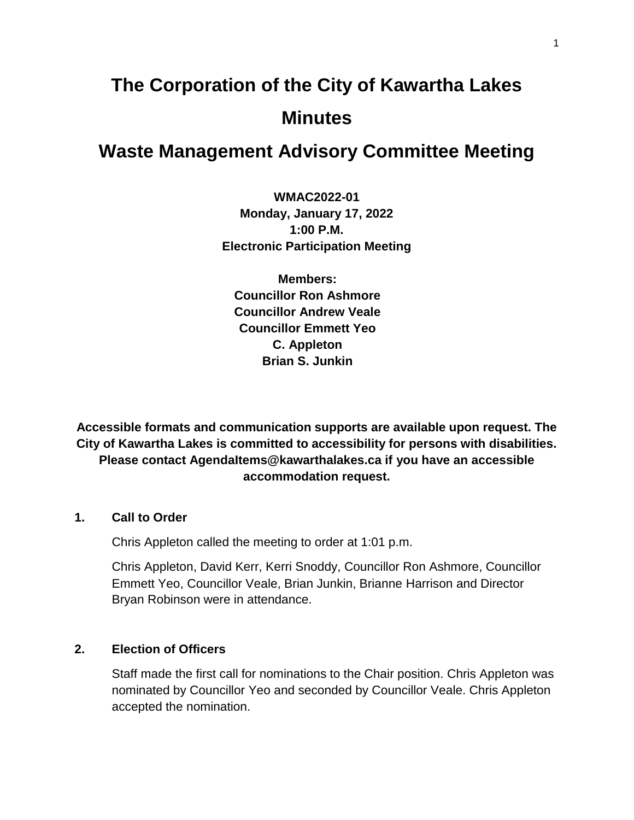# **The Corporation of the City of Kawartha Lakes Minutes**

# **Waste Management Advisory Committee Meeting**

**WMAC2022-01 Monday, January 17, 2022 1:00 P.M. Electronic Participation Meeting**

**Members: Councillor Ron Ashmore Councillor Andrew Veale Councillor Emmett Yeo C. Appleton Brian S. Junkin**

**Accessible formats and communication supports are available upon request. The City of Kawartha Lakes is committed to accessibility for persons with disabilities. Please contact AgendaItems@kawarthalakes.ca if you have an accessible accommodation request.** 

#### **1. Call to Order**

Chris Appleton called the meeting to order at 1:01 p.m.

Chris Appleton, David Kerr, Kerri Snoddy, Councillor Ron Ashmore, Councillor Emmett Yeo, Councillor Veale, Brian Junkin, Brianne Harrison and Director Bryan Robinson were in attendance.

#### **2. Election of Officers**

Staff made the first call for nominations to the Chair position. Chris Appleton was nominated by Councillor Yeo and seconded by Councillor Veale. Chris Appleton accepted the nomination.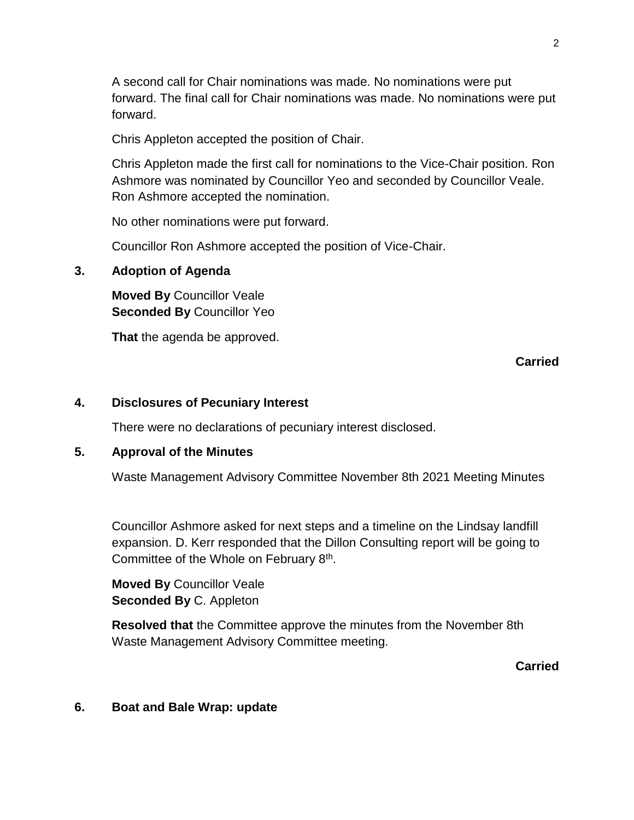A second call for Chair nominations was made. No nominations were put forward. The final call for Chair nominations was made. No nominations were put forward.

Chris Appleton accepted the position of Chair.

Chris Appleton made the first call for nominations to the Vice-Chair position. Ron Ashmore was nominated by Councillor Yeo and seconded by Councillor Veale. Ron Ashmore accepted the nomination.

No other nominations were put forward.

Councillor Ron Ashmore accepted the position of Vice-Chair.

### **3. Adoption of Agenda**

**Moved By** Councillor Veale **Seconded By** Councillor Yeo

**That** the agenda be approved.

# **Carried**

#### **4. Disclosures of Pecuniary Interest**

There were no declarations of pecuniary interest disclosed.

#### **5. Approval of the Minutes**

Waste Management Advisory Committee November 8th 2021 Meeting Minutes

Councillor Ashmore asked for next steps and a timeline on the Lindsay landfill expansion. D. Kerr responded that the Dillon Consulting report will be going to Committee of the Whole on February 8<sup>th</sup>.

**Moved By** Councillor Veale **Seconded By** C. Appleton

**Resolved that** the Committee approve the minutes from the November 8th Waste Management Advisory Committee meeting.

**Carried**

#### **6. Boat and Bale Wrap: update**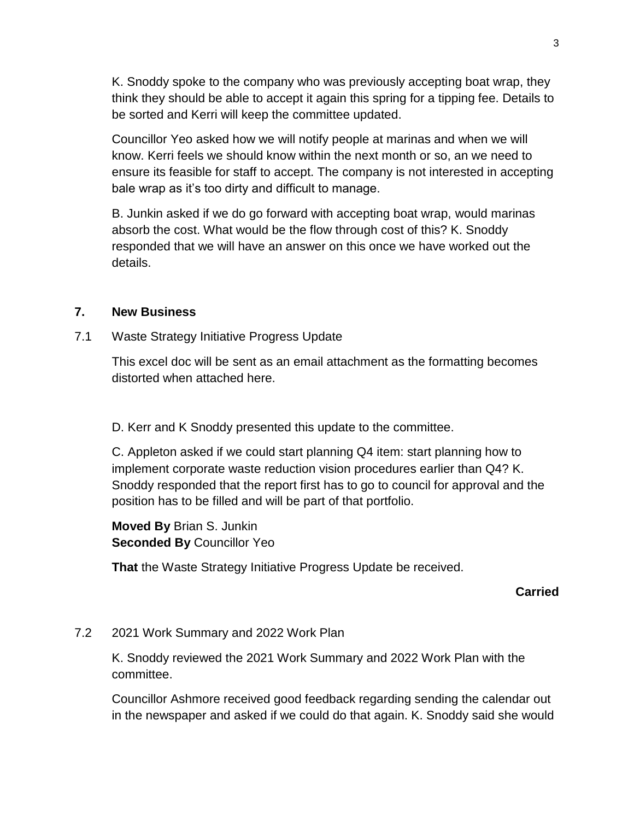K. Snoddy spoke to the company who was previously accepting boat wrap, they think they should be able to accept it again this spring for a tipping fee. Details to be sorted and Kerri will keep the committee updated.

Councillor Yeo asked how we will notify people at marinas and when we will know. Kerri feels we should know within the next month or so, an we need to ensure its feasible for staff to accept. The company is not interested in accepting bale wrap as it's too dirty and difficult to manage.

B. Junkin asked if we do go forward with accepting boat wrap, would marinas absorb the cost. What would be the flow through cost of this? K. Snoddy responded that we will have an answer on this once we have worked out the details.

#### **7. New Business**

7.1 Waste Strategy Initiative Progress Update

This excel doc will be sent as an email attachment as the formatting becomes distorted when attached here.

D. Kerr and K Snoddy presented this update to the committee.

C. Appleton asked if we could start planning Q4 item: start planning how to implement corporate waste reduction vision procedures earlier than Q4? K. Snoddy responded that the report first has to go to council for approval and the position has to be filled and will be part of that portfolio.

**Moved By** Brian S. Junkin **Seconded By** Councillor Yeo

**That** the Waste Strategy Initiative Progress Update be received.

#### **Carried**

#### 7.2 2021 Work Summary and 2022 Work Plan

K. Snoddy reviewed the 2021 Work Summary and 2022 Work Plan with the committee.

Councillor Ashmore received good feedback regarding sending the calendar out in the newspaper and asked if we could do that again. K. Snoddy said she would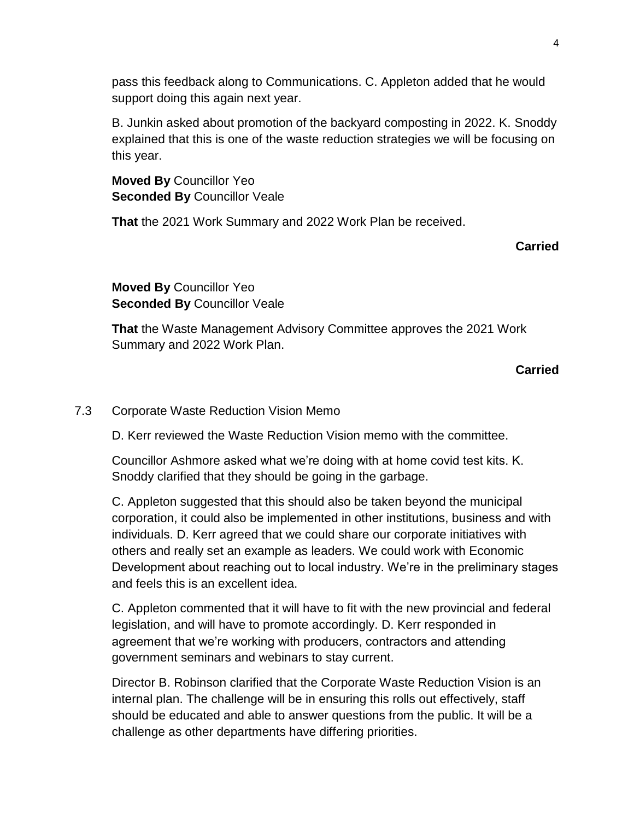pass this feedback along to Communications. C. Appleton added that he would support doing this again next year.

B. Junkin asked about promotion of the backyard composting in 2022. K. Snoddy explained that this is one of the waste reduction strategies we will be focusing on this year.

**Moved By** Councillor Yeo **Seconded By** Councillor Veale

**That** the 2021 Work Summary and 2022 Work Plan be received.

**Carried**

**Moved By** Councillor Yeo **Seconded By** Councillor Veale

**That** the Waste Management Advisory Committee approves the 2021 Work Summary and 2022 Work Plan.

**Carried**

# 7.3 Corporate Waste Reduction Vision Memo

D. Kerr reviewed the Waste Reduction Vision memo with the committee.

Councillor Ashmore asked what we're doing with at home covid test kits. K. Snoddy clarified that they should be going in the garbage.

C. Appleton suggested that this should also be taken beyond the municipal corporation, it could also be implemented in other institutions, business and with individuals. D. Kerr agreed that we could share our corporate initiatives with others and really set an example as leaders. We could work with Economic Development about reaching out to local industry. We're in the preliminary stages and feels this is an excellent idea.

C. Appleton commented that it will have to fit with the new provincial and federal legislation, and will have to promote accordingly. D. Kerr responded in agreement that we're working with producers, contractors and attending government seminars and webinars to stay current.

Director B. Robinson clarified that the Corporate Waste Reduction Vision is an internal plan. The challenge will be in ensuring this rolls out effectively, staff should be educated and able to answer questions from the public. It will be a challenge as other departments have differing priorities.